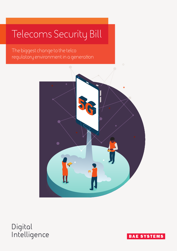# Telecoms Security Bill

The biggest change to the telco regulatory environment in a generation



# **Digital Intelligence**

**BAE SYSTEMS**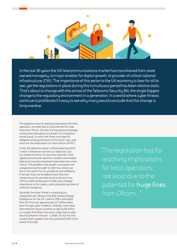

**In the last 30 years the UK telecommunications market has transitioned from state owned monopoly, to major enabler for digital growth, to provider of critical national infrastructure (CNI). The importance of this sector to the UK economy is clear for all to see, yet the regulations in place during this tumultuous period has been relative static. That's about to change with the arrival of the Telecoms Security Bill, the single biggest change to the regulatory environment in a generation. In a world where cyber threats continue to proliferate it's easy to see why many would conclude that this change is long overdue.** 

The legislation has far reaching implications for telco operators, not least due to the potential for huge fines from Ofcom, but also the reputational damage and business disruption any breach of compliance would cause. So why hare these more specific obligations being enforced on this sector now, and what are the implications on them and on UK Plc?

Firstly, the telecoms sector is all pervasive by which I mean it influences not only our daily lives, but our whole economy. As we move towards a fully digital economy the need for a resilient and reliable telecommunications backbone becomes even more critical. The pandemic has taught us to expect the unexpected and brought to light how reliant we are on this sector for our prosperity and wellbeing. If we ever took our broadband and telecoms infrastructure for granted we do so far less now. CNI is so defined because it holds a key strategic importance to the nation, particularly during times of national emergency.

Secondly, the cyber threat is increasing at a substantial rate. Research by BAE Systems Digital Intelligence for the UK Cabinet Office estimated that UK firms lose approximate £27 billion every year through cyber incidents. Globally, some have estimated the figure could be as high as \$6 trillion or, roughly \$16 billion lost every single day to cyber security breaches (Source: Cobalt). To put this into context that's greater than the combined GDP of the whole of Europe.

"The legislation has far reaching implications for telco operators, not least due to the potential for **huge fines** from Ofcom..."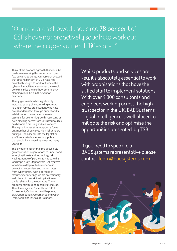"Our research showed that circa **78 per cent** of CSPs have not proactively sought to work out where their cyber vulnerabilities are..."

Think of the economic growth that could be made in minimising this impact even by a few percentage points. Our research showed that circa 78 per cent of CSPs have not proactively sought to work out where their cyber vulnerabilities are or what they would do to minimise them or how contingency planning could help in the event of an attack.

Thirdly, globalisation has significantly increased supply chains, making us more reliant on remote organisations who have access and transact through our networks. Whilst smooth unrestricted access is essential for economic growth, restricting or even blocking access from untrusted sources has become a pressing and real concern. The legislation has at its inception a focus on a number of perceived high risk vendors but if you look deeper into the legislation you'll see a set of cyber security policies that should have been implemented many years ago.

The environment summarised above puts greater onus on organisations to understand emerging threats and technology risks. Having a range of partners to navigate this landscape is key. Step forward BAE Systems who have a deep routed experience in protecting enterprises and nation states from cyber threat. With a portfolio of mature cyber offerings we are exceptionally well placed to de-risk the implications of the legislation for the operators. These products, services and capabilities include, Threat Intelligence, Cyber Threat & Risk Assessment, Critical Incident Response, SOC Optimisation, Governance and Policy Framework and Disclosure Solutions.

**Whilst products and services are key, it's absolutely essential to work with organisations that have the skilled staff to implement solutions. With over 4,000 consultants and engineers working across the high trust sector in the UK, BAE Systems Digital Intelligence is well placed to mitigate the risk and optimise the opportunities presented by TSB.**

**If you need to speak to a BAE Systems representative please contact learn@baesystems.com**